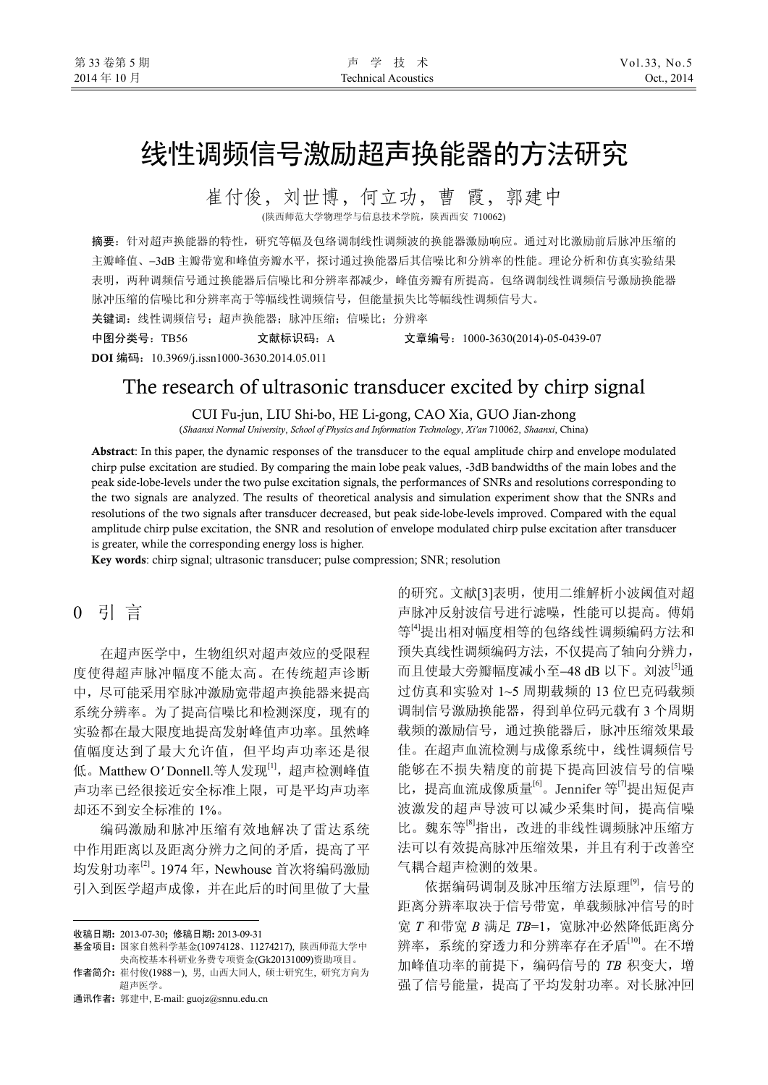# 线性调频信号激励超声换能器的方法研究

崔付俊,刘世博,何立功,曹 霞,郭建中 (陕西师范大学物理学与信息技术学院,陕西西安 710062)

摘要:针对超声换能器的特性,研究等幅及包络调制线性调频波的换能器激励响应。通过对比激励前后脉冲压缩的 主瓣峰值、−3dB 主瓣带宽和峰值旁瓣水平,探讨通过换能器后其信噪比和分辨率的性能。理论分析和仿真实验结果 表明,两种调频信号通过换能器后信噪比和分辨率都减少,峰值旁瓣有所提高。包络调制线性调频信号激励换能器 脉冲压缩的信噪比和分辨率高于等幅线性调频信号,但能量损失比等幅线性调频信号大。

关键词:线性调频信号;超声换能器;脉冲压缩;信噪比;分辨率 中图分类号:TB56 文献标识码:A 文章编号:1000-3630(2014)-05-0439-07

**DOI** 编码:10.3969/j.issn1000-3630.2014.05.011

# The research of ultrasonic transducer excited by chirp signal

CUI Fu-jun, LIU Shi-bo, HE Li-gong, CAO Xia, GUO Jian-zhong

(*Shaanxi Normal University*, *School of Physics and Information Technology*, *Xi'an* 710062, *Shaanxi*, China)

Abstract: In this paper, the dynamic responses of the transducer to the equal amplitude chirp and envelope modulated chirp pulse excitation are studied. By comparing the main lobe peak values, -3dB bandwidths of the main lobes and the peak side-lobe-levels under the two pulse excitation signals, the performances of SNRs and resolutions corresponding to the two signals are analyzed. The results of theoretical analysis and simulation experiment show that the SNRs and resolutions of the two signals after transducer decreased, but peak side-lobe-levels improved. Compared with the equal amplitude chirp pulse excitation, the SNR and resolution of envelope modulated chirp pulse excitation after transducer is greater, while the corresponding energy loss is higher.

Key words: chirp signal; ultrasonic transducer; pulse compression; SNR; resolution

# 0 引 言

 $\overline{a}$ 

在超声医学中,生物组织对超声效应的受限程 度使得超声脉冲幅度不能太高。在传统超声诊断 中,尽可能采用窄脉冲激励宽带超声换能器来提高 系统分辨率。为了提高信噪比和检测深度,现有的 实验都在最大限度地提高发射峰值声功率。虽然峰 值幅度达到了最大允许值,但平均声功率还是很 低。Matthew O*'* Donnell.等人发现[1],超声检测峰值 声功率已经很接近安全标准上限,可是平均声功率 却还不到安全标准的 1%。

编码激励和脉冲压缩有效地解决了雷达系统 中作用距离以及距离分辨力之间的矛盾,提高了平 均发射功率 $^{[2]}$ 。1974年, Newhouse 首次将编码激励 引入到医学超声成像,并在此后的时间里做了大量

通讯作者: 郭建中, E-mail: guojz@snnu.edu.cn

的研究。文献[3]表明,使用二维解析小波阈值对超 声脉冲反射波信号进行滤噪,性能可以提高。傅娟 等<sup>[4]</sup>提出相对幅度相等的包络线性调频编码方法和 预失真线性调频编码方法,不仅提高了轴向分辨力, 而且使最大旁瓣幅度减小至−48 dB 以下。刘波[5]通 过仿真和实验对 1~5 周期载频的 13 位巴克码载频 调制信号激励换能器,得到单位码元载有 3 个周期 载频的激励信号,通过换能器后,脉冲压缩效果最 佳。在超声血流检测与成像系统中,线性调频信号 能够在不损失精度的前提下提高回波信号的信噪 比, 提高血流成像质量<sup>[6]</sup>。Jennifer 等<sup>[7]</sup>提出短促声 波激发的超声导波可以减少采集时间,提高信噪 比。魏东等<sup>[8]</sup>指出,改进的非线性调频脉冲压缩方 法可以有效提高脉冲压缩效果,并且有利于改善空 气耦合超声检测的效果。

依据编码调制及脉冲压缩方法原理<sup>[9]</sup>,信号的 距离分辨率取决于信号带宽,单载频脉冲信号的时 宽 *T* 和带宽 *B* 满足 *TB*=1,宽脉冲必然降低距离分 辨率,系统的穿透力和分辨率存在矛盾[10]。在不增 加峰值功率的前提下,编码信号的 *TB* 积变大,增 强了信号能量,提高了平均发射功率。对长脉冲回

收稿日期: 2013-07-30; 修稿日期: 2013-09-31

基金项目: 国家自然科学基金(10974128、11274217), 陕西师范大学中 央高校基本科研业务费专项资金(Gk20131009)资助项目。

作者简介: 崔付俊(1988-), 男, 山西大同人, 硕士研究生, 研究方向为 超声医学。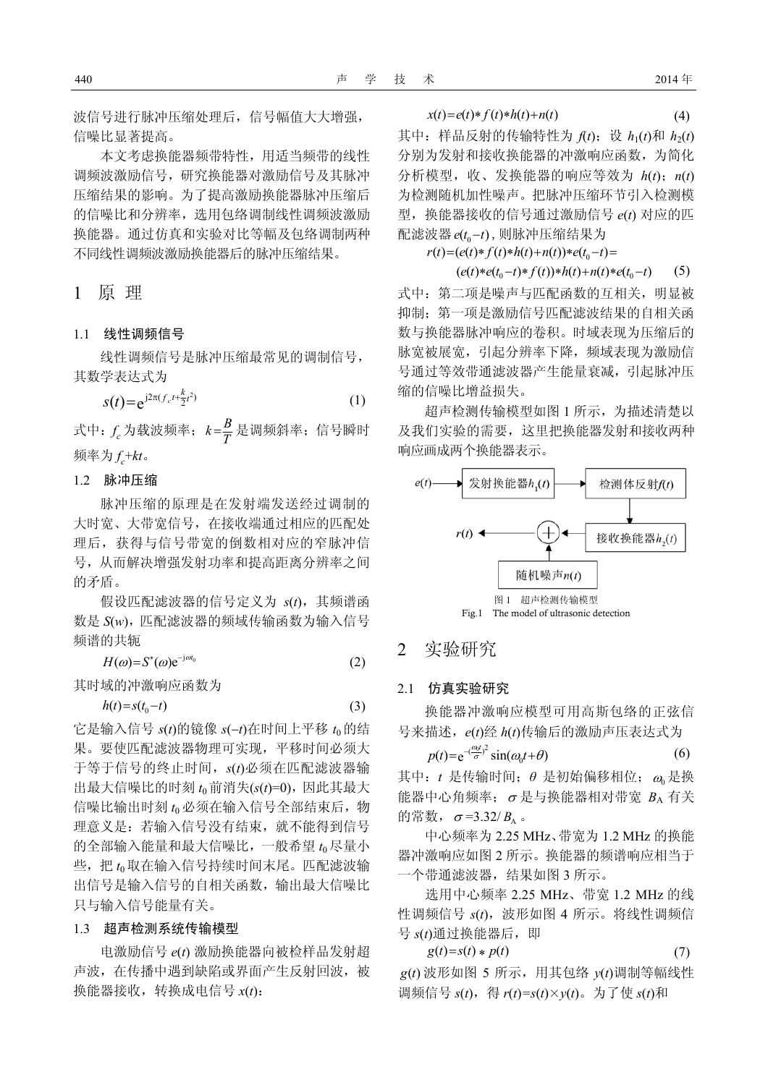波信号进行脉冲压缩处理后,信号幅值大大增强, 信噪比显著提高。

本文考虑换能器频带特性,用适当频带的线性 调频波激励信号,研究换能器对激励信号及其脉冲 压缩结果的影响。为了提高激励换能器脉冲压缩后 的信噪比和分辨率,选用包络调制线性调频波激励 换能器。通过仿真和实验对比等幅及包络调制两种 不同线性调频波激励换能器后的脉冲压缩结果。

1 原 理

### 1.1 线性调频信号

线性调频信号是脉冲压缩最常见的调制信号, 其数学表达式为

$$
s(t) = e^{j2\pi (f_c t + \frac{k}{2}t^2)}
$$
 (1)

式中:  $f_c$ 为载波频率;  $k$ = $\frac{B}{T}$ 是调频斜率; 信号瞬时 频率为 *f c* +*kt*。

#### 1.2 脉冲压缩

脉冲压缩的原理是在发射端发送经过调制的 大时宽、大带宽信号,在接收端通过相应的匹配处 理后,获得与信号带宽的倒数相对应的窄脉冲信 号,从而解决增强发射功率和提高距离分辨率之间 的矛盾。

假设匹配滤波器的信号定义为 *s*(*t*),其频谱函 数是 S(w), 匹配滤波器的频域传输函数为输入信号 频谱的共轭

$$
H(\omega) = S^*(\omega) e^{-j\omega t_0} \tag{2}
$$

其时域的冲激响应函数为

$$
h(t) = s(t_0 - t) \tag{3}
$$

它是输入信号 *s*(*t*)的镜像 *s*(−*t*)在时间上平移 *t*0的结 果。要使匹配滤波器物理可实现,平移时间必须大 于等于信号的终止时间,*s*(*t*)必须在匹配滤波器输 出最大信噪比的时刻 *t*0前消失(*s*(*t*)=0),因此其最大 信噪比输出时刻 *t*<sup>0</sup> 必须在输入信号全部结束后,物 理意义是:若输入信号没有结束,就不能得到信号 的全部输入能量和最大信噪比,一般希望 *t*<sup>0</sup> 尽量小 些, 把  $t_0$  取在输入信号持续时间末尾。匹配滤波输 出信号是输入信号的自相关函数,输出最大信噪比 只与输入信号能量有关。

#### 1.3 超声检测系统传输模型

电激励信号 *e*(*t*) 激励换能器向被检样品发射超 声波,在传播中遇到缺陷或界面产生反射回波,被 换能器接收,转换成电信号 *x*(*t*):

$$
x(t) = e(t) * f(t) * h(t) + n(t)
$$
\n<sup>(4)</sup>

其中: 样品反射的传输特性为  $f(t)$ ; 设  $h_1(t)$ 和  $h_2(t)$ 分别为发射和接收换能器的冲激响应函数,为简化 分析模型,收、发换能器的响应等效为 *h*(*t*);*n*(*t*) 为检测随机加性噪声。把脉冲压缩环节引入检测模 型,换能器接收的信号通过激励信号 e(t) 对应的匹 配滤波器 e(t -t), 则脉冲压缩结果为

 $r(t) = (e(t)*f(t)*h(t)+n(t))*e(t_0-t)$ 

 $(e(t)*e(t_{0}-t)*f(t))*h(t)+n(t)*e(t_{0}-t)$  (5) 式中:第二项是噪声与匹配函数的互相关,明显被 抑制;第一项是激励信号匹配滤波结果的自相关函 数与换能器脉冲响应的卷积。时域表现为压缩后的 脉宽被展宽,引起分辨率下降,频域表现为激励信 号通过等效带通滤波器产生能量衰减,引起脉冲压 缩的信噪比增益损失。

超声检测传输模型如图 1 所示,为描述清楚以 及我们实验的需要,这里把换能器发射和接收两种 响应画成两个换能器表示。



### 2 实验研究

#### 2.1 仿真实验研究

换能器冲激响应模型可用高斯包络的正弦信 号来描述,*e*(*t*)经 *h*(*t*)传输后的激励声压表达式为

$$
p(t) = e^{-\left(\frac{\omega_0 t}{\sigma}\right)^2} \sin(\omega_0 t + \theta) \tag{6}
$$

其中: t 是传输时间; θ 是初始偏移相位; ω 是换 能器中心角频率; σ 是与换能器相对带宽  $B_A$  有关 的常数,  $\sigma$ =3.32/ *B*<sub>A</sub> 。

中心频率为 2.25 MHz、带宽为 1.2 MHz 的换能 器冲激响应如图 2 所示。换能器的频谱响应相当于 一个带通滤波器,结果如图 3 所示。

选用中心频率 2.25 MHz、带宽 1.2 MHz 的线 性调频信号 *s*(*t*),波形如图 4 所示。将线性调频信 号  $s(t)$ 通过换能器后, 即

$$
g(t)=s(t) * p(t)
$$
\n
$$
g(t) \overset{\cdot}{\not\!{\tiny \text{B}}} \mathcal{B} \text{ so } \mathcal{B} \text{ in } \mathbb{R}^n \mathcal{B}, \text{ and } \mathcal{B} \text{ is the same as } \mathcal{B} \text{ on } \mathbb{R}^n \mathcal{B} \text{ on } \mathbb{R}^n \mathcal{B} \text{ on } \mathbb{R}^n \mathcal{B} \text{ on } \mathbb{R}^n \mathcal{B} \text{ on } \mathbb{R}^n \mathcal{B} \text{ on } \mathbb{R}^n \mathcal{B} \text{ on } \mathbb{R}^n \mathcal{B} \text{ on } \mathbb{R}^n \mathcal{B} \text{ on } \mathbb{R}^n \mathcal{B} \text{ on } \mathbb{R}^n \mathcal{B} \text{ on } \mathbb{R}^n \mathcal{B} \text{ on } \mathbb{R}^n \mathcal{B} \text{ on } \mathbb{R}^n \mathcal{B} \text{ on } \mathbb{R}^n \mathcal{B} \text{ on } \mathbb{R}^n \mathcal{B} \text{ on } \mathbb{R}^n \mathcal{B} \text{ on } \mathbb{R}^n \mathcal{B} \text{ on } \mathbb{R}^n \mathcal{B} \text{ on } \mathbb{R}^n \mathcal{B} \text{ on } \mathbb{R}^n \mathcal{B} \text{ on } \mathbb{R}^n \mathcal{B} \text{ on } \mathbb{R}^n \mathcal{B} \text{ on } \mathbb{R}^n \mathcal{B} \text{ on } \mathbb{R}^n \mathcal{B} \text{ on } \mathbb{R}^n \mathcal{B} \text{ on } \mathbb{R}^n \mathcal{B} \text{ on } \mathbb{R}^n \mathcal{B} \text{ on } \mathbb{R}^n \mathcal{B} \text{ on } \mathbb{R}^n \mathcal{B} \text{ on } \mathbb{R}^n \mathcal{B} \text{ on } \mathbb{R}^n \mathcal{B} \text{ on } \mathbb{R}^n \mathcal{B} \text{ on } \mathbb{R}^n \mathcal{B} \text{ on } \mathbb{R}^n \mathcal{B} \text{ on } \mathbb{R}^n
$$

调频信号 *s*(*t*),得 *r*(*t*)*=s*(*t*)×*y*(*t*)。为了使 *s*(*t*)和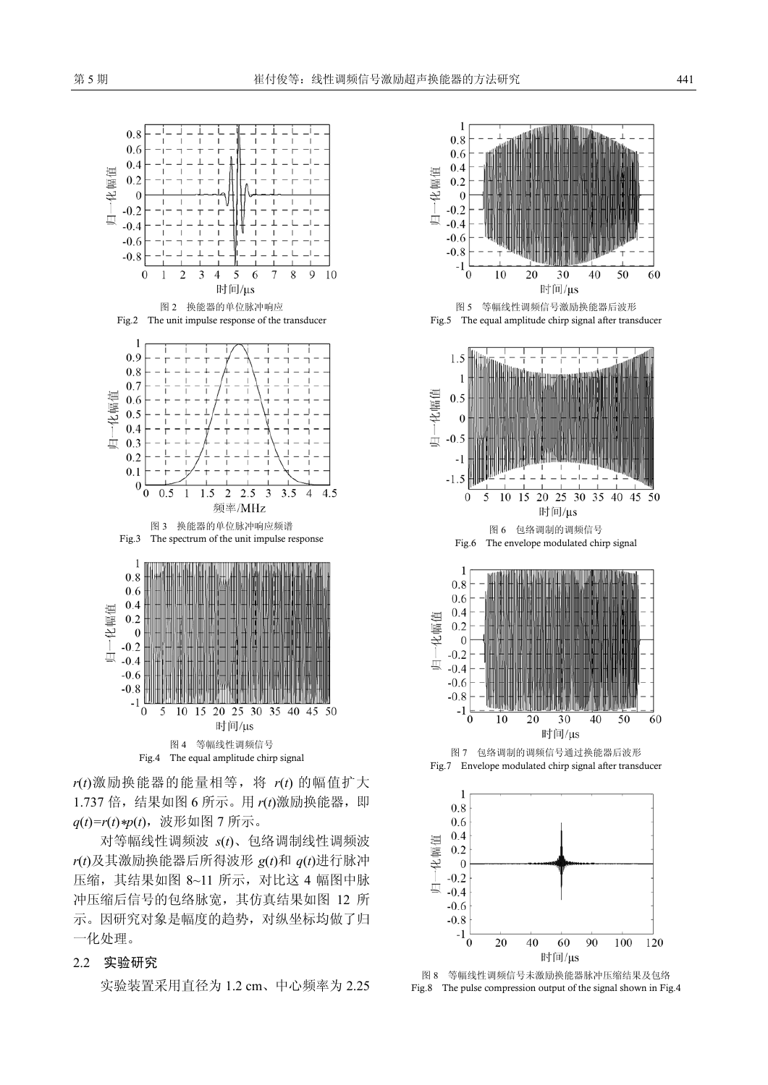

*r*(*t*)激励换能器的能量相等,将 *r*(*t*) 的幅值扩大 1.737 倍,结果如图 6 所示。用 *r*(*t*)激励换能器,即 *q*(*t*)*=r*(*t*)*\*p*(*t*),波形如图 7 所示。

对等幅线性调频波 *s*(*t*)、包络调制线性调频波 *r*(*t*)及其激励换能器后所得波形 *g*(*t*)和 *q*(*t*)进行脉冲 压缩,其结果如图 8~11 所示,对比这 4 幅图中脉 冲压缩后信号的包络脉宽,其仿真结果如图 12 所 示。因研究对象是幅度的趋势,对纵坐标均做了归 一化处理。

#### 2.2 实验研究

实验装置采用直径为 1.2 cm、中心频率为 2.25



图 8 等幅线性调频信号未激励换能器脉冲压缩结果及包络 Fig.8 The pulse compression output of the signal shown in Fig.4

60 时间/µs 90

100

120

40

 $-0.6$  $-0.8$  $-1$  $^{\circ}$  0

20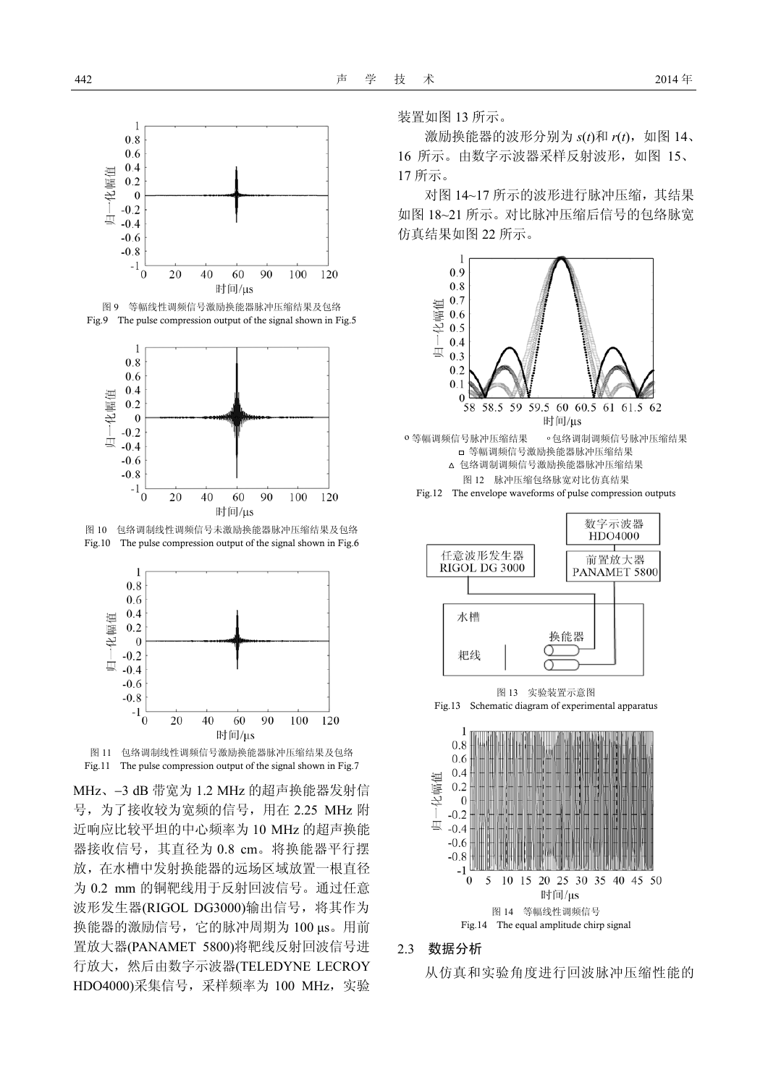





图 10 包络调制线性调频信号未激励换能器脉冲压缩结果及包络 Fig.10 The pulse compression output of the signal shown in Fig.6





MHz、−3 dB 带宽为 1.2 MHz 的超声换能器发射信 号, 为了接收较为宽频的信号, 用在 2.25 MHz 附 近响应比较平坦的中心频率为 10 MHz 的超声换能 器接收信号, 其直径为 0.8 cm。将换能器平行摆 放,在水槽中发射换能器的远场区域放置一根直径 为 0.2 mm 的铜靶线用于反射回波信号。通过任意 波形发生器(RIGOL DG3000)输出信号, 将其作为 换能器的激励信号,它的脉冲周期为 100 μs。用前 置放大器(PANAMET 5800)将靶线反射回波信号进 行放大, 然后由数字示波器(TELEDYNE LECROY HDO4000)采集信号, 采样频率为 100 MHz, 实验 装置如图 13 所示。

激励换能器的波形分别为 *s*(*t*)和 *r*(*t*),如图 14、 16 所示。由数字示波器采样反射波形, 如图 15、 17 所示。

对图 14~17 所示的波形讲行脉冲压缩, 其结果 如图 18~21 所示。对比脉冲压缩后信号的包络脉宽 仿真结果如图 22 所示。



#### 2.3 数据分析

从仿真和实验角度进行回波脉冲压缩性能的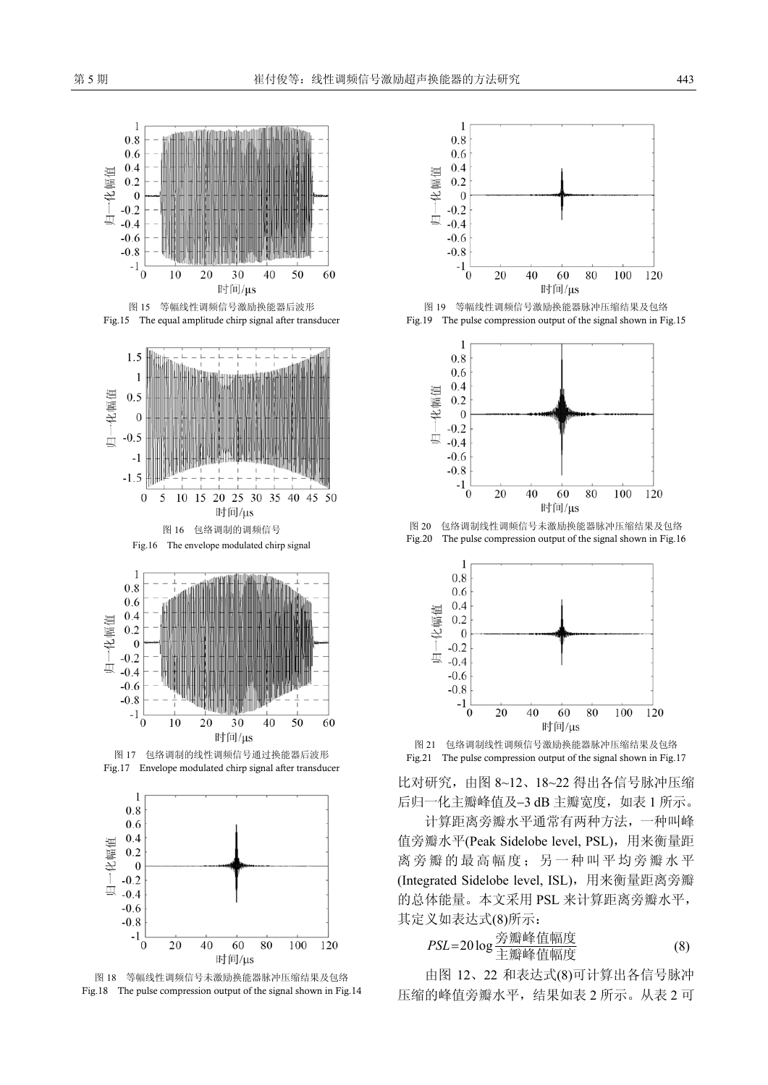





Fig.17 Envelope modulated chirp signal after transducer



图 18 等幅线性调频信号未激励换能器脉冲压缩结果及包络 Fig.18 The pulse compression output of the signal shown in Fig.14



图 15 等幅线性调频信号激励换能器后波形 20 20 20 20 20 20 30 20 20 30 当幅线性调频信号激励换能器脉冲压缩结果及包络 Fig.15 The equal amplitude chirp signal after transducer Fig.19 The pulse compression output of the signal shown in Fig.15



图 16 包络调制的调频信号 20 20 包络调制线性调频信号未激励换能器脉冲压缩结果及包络



图 21 包络调制线性调频信号激励换能器脉冲压缩结果及包络 图 17 包络调制的线性调频信号通过换能器后波形 Fig.21 The pulse compression output of the signal shown in Fig.17

比对研究,由图 8~12、18~22 得出各信号脉冲压缩 后归一化主瓣峰值及−3 dB 主瓣宽度,如表 1 所示。

计算距离旁瓣水平通常有两种方法,一种叫峰 值旁瓣水平(Peak Sidelobe level, PSL), 用来衡量距 离旁瓣的最高幅度;另一种叫平均旁瓣水平 (Integrated Sidelobe level, ISL), 用来衡量距离旁瓣 的总体能量。本文采用 PSL 来计算距离旁瓣水平, 其定义如表达式(8)所示:

$$
PSL = 20 \log \frac{\hat{\mathfrak{F}} \hat{\mathfrak{m}} \hat{\mathfrak{m}} \hat{\underline{\mathfrak{m}}} \hat{\underline{\mathfrak{m}}} \hat{\underline{\mathfrak{m}}} \hat{\underline{\mathfrak{m}}} \tag{8}
$$

由图 12、22 和表达式(8)可计算出各信号脉冲 压缩的峰值旁瓣水平,结果如表 2 所示。从表 2 可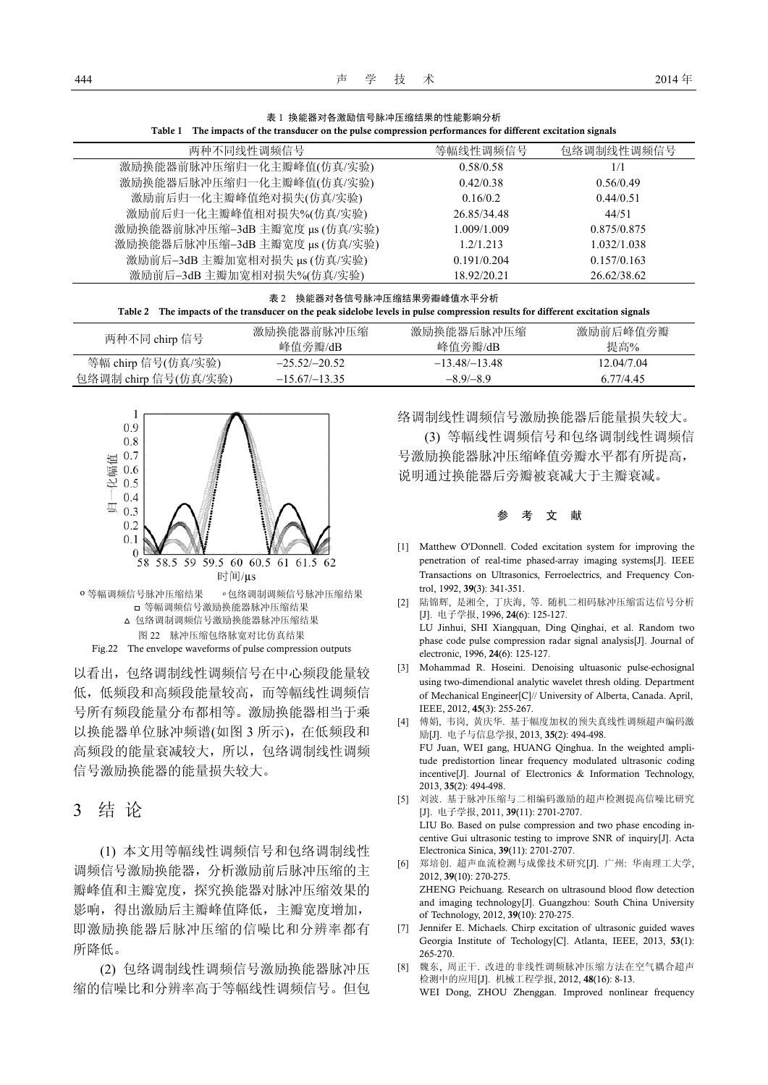表 1 换能器对各激励信号脉冲压缩结果的性能影响分析

Table 1 The impacts of the transducer on the pulse compression performances for different excitation signals 两种不同线性调频信号 等幅线性调频信号 包络调制线性调频信号 激励换能器前脉冲压缩归一化主瓣峰值(仿真/实验) 0.58/0.58 1/1 激励换能器后脉冲压缩归一化主瓣峰值(仿真/实验) 0.42/0.38 0.56/0.49 激励前后归一化主瓣峰值绝对损失(仿真/实验) 0.16/0.2 0.44/0.51 激励前后归一化主瓣峰值相对损失%(仿真/实验) 26.85/34.48 44/51 激励换能器前脉冲压缩−3dB 主瓣宽度 μs (仿真/实验) 1.009/1.009 0.875/0.875 激励换能器后脉冲压缩−3dB 主瓣宽度 μs (仿真/实验) 1.2/1.213 1.032/1.038

| 激励前后-3dB 主瓣加宽相对损失%(仿真/实验) | 18.92/20.21               | 26.62/38.62 |
|---------------------------|---------------------------|-------------|
|                           | 表 2 换能器对各信号脉冲压缩结果旁瓣峰值水平分析 |             |

激励前后−3dB 主瓣加宽相对损失 μs (仿真/实验) 0.191/0.204 0.157/0.163

#### Table 2 The impacts of the transducer on the peak sidelobe levels in pulse compression results for different excitation signals

| 两种不同 chirp 信号        | 激励换能器前脉冲压缩      | 激励换能器后脉冲压缩      | 激励前后峰值旁瓣   |
|----------------------|-----------------|-----------------|------------|
|                      | 峰值旁瓣/dB         | 峰值旁瓣/dB         | 提高%        |
| 等幅 chirp 信号(仿真/实验)   | $-25.52/-20.52$ | $-13.48/-13.48$ | 12.04/7.04 |
| 包络调制 chirp 信号(仿真/实验) | $-15.67/-13.35$ | $-8.9/-8.9$     | 6.77/4.45  |



以看出,包络调制线性调频信号在中心频段能量较 低,低频段和高频段能量较高,而等幅线性调频信 号所有频段能量分布都相等。激励换能器相当于乘 以换能器单位脉冲频谱(如图 3 所示),在低频段和 高频段的能量衰减较大,所以,包络调制线性调频 信号激励换能器的能量损失较大。

### 3 结 论

(1) 本文用等幅线性调频信号和包络调制线性 调频信号激励换能器,分析激励前后脉冲压缩的主 瓣峰值和主瓣宽度,探究换能器对脉冲压缩效果的 影响,得出激励后主瓣峰值降低,主瓣宽度增加, 即激励换能器后脉冲压缩的信噪比和分辨率都有 所降低。

(2) 包络调制线性调频信号激励换能器脉冲压 缩的信噪比和分辨率高于等幅线性调频信号。但包 络调制线性调频信号激励换能器后能量损失较大。

(3) 等幅线性调频信号和包络调制线性调频信 号激励换能器脉冲压缩峰值旁瓣水平都有所提高, 说明通过换能器后旁瓣被衰减大于主瓣衰减。

#### 参考文献

- [1] Matthew O'Donnell. Coded excitation system for improving the penetration of real-time phased-array imaging systems[J]. IEEE Transactions on Ultrasonics, Ferroelectrics, and Frequency Control, 1992, 39(3): 341-351.
- [2] 陆锦辉, 是湘全, 丁庆海, 等. 随机二相码脉冲压缩雷达信号分析 [J]. 电子学报, 1996, 24(6): 125-127. LU Jinhui, SHI Xiangquan, Ding Qinghai, et al. Random two phase code pulse compression radar signal analysis[J]. Journal of electronic, 1996, 24(6): 125-127.
- [3] Mohammad R. Hoseini. Denoising ultuasonic pulse-echosignal using two-dimendional analytic wavelet thresh olding. Department of Mechanical Engineer[C]// University of Alberta, Canada. April, IEEE, 2012, 45(3): 255-267.
- [4] 傅娟, 韦岗, 黄庆华. 基于幅度加权的预失真线性调频超声编码激 励[J]. 电子与信息学报, 2013, 35(2): 494-498. FU Juan, WEI gang, HUANG Qinghua. In the weighted amplitude predistortion linear frequency modulated ultrasonic coding incentive[J]. Journal of Electronics & Information Technology, 2013, 35(2): 494-498.
- [5] 刘波. 基于脉冲压缩与二相编码激励的超声检测提高信噪比研究 [J]. 电子学报, 2011, 39(11): 2701-2707. LIU Bo. Based on pulse compression and two phase encoding incentive Gui ultrasonic testing to improve SNR of inquiry[J]. Acta Electronica Sinica, 39(11): 2701-2707.
- [6] 郑培创. 超声血流检测与成像技术研究[J]. 广州: 华南理工大学, 2012, 39(10): 270-275. ZHENG Peichuang. Research on ultrasound blood flow detection and imaging technology[J]. Guangzhou: South China University of Technology, 2012, 39(10): 270-275.
- [7] Jennifer E. Michaels. Chirp excitation of ultrasonic guided waves Georgia Institute of Techology[C]. Atlanta, IEEE, 2013, 53(1): 265-270.
- [8] 魏东, 周正干. 改进的非线性调频脉冲压缩方法在空气耦合超声 检测中的应用[J]. 机械工程学报, 2012, 48(16): 8-13. WEI Dong, ZHOU Zhenggan. Improved nonlinear frequency